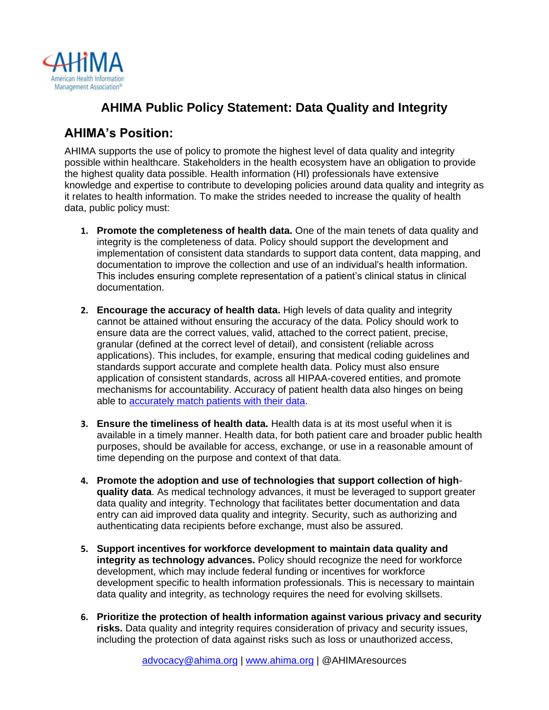

## **AHIMA Public Policy Statement: Data Quality and Integrity**

### **AHIMA's Position:**

AHIMA supports the use of policy to promote the highest level of data quality and integrity possible within healthcare. Stakeholders in the health ecosystem have an obligation to provide the highest quality data possible. Health information (HI) professionals have extensive knowledge and expertise to contribute to developing policies around data quality and integrity as it relates to health information. To make the strides needed to increase the quality of health data, public policy must:

- **1. Promote the completeness of health data.** One of the main tenets of data quality and integrity is the completeness of data. Policy should support the development and implementation of consistent data standards to support data content, data mapping, and documentation to improve the collection and use of an individual's health information. This includes ensuring complete representation of a patient's clinical status in clinical documentation.
- **2. Encourage the accuracy of health data.** High levels of data quality and integrity cannot be attained without ensuring the accuracy of the data. Policy should work to ensure data are the correct values, valid, attached to the correct patient, precise, granular (defined at the correct level of detail), and consistent (reliable across applications). This includes, for example, ensuring that medical coding guidelines and standards support accurate and complete health data. Policy must also ensure application of consistent standards, across all HIPAA-covered entities, and promote mechanisms for accountability. Accuracy of patient health data also hinges on being able to [accurately match patients with their data.](https://www.ahima.org/advocacy/policy-statements/patient-identification/)
- **3. Ensure the timeliness of health data.** Health data is at its most useful when it is available in a timely manner. Health data, for both patient care and broader public health purposes, should be available for access, exchange, or use in a reasonable amount of time depending on the purpose and context of that data.
- **4. Promote the adoption and use of technologies that support collection of highquality data**. As medical technology advances, it must be leveraged to support greater data quality and integrity. Technology that facilitates better documentation and data entry can aid improved data quality and integrity. Security, such as authorizing and authenticating data recipients before exchange, must also be assured.
- **5. Support incentives for workforce development to maintain data quality and integrity as technology advances.** Policy should recognize the need for workforce development, which may include federal funding or incentives for workforce development specific to health information professionals. This is necessary to maintain data quality and integrity, as technology requires the need for evolving skillsets.
- **6. Prioritize the protection of health information against various privacy and security risks.** Data quality and integrity requires consideration of privacy and security issues, including the protection of data against risks such as loss or unauthorized access,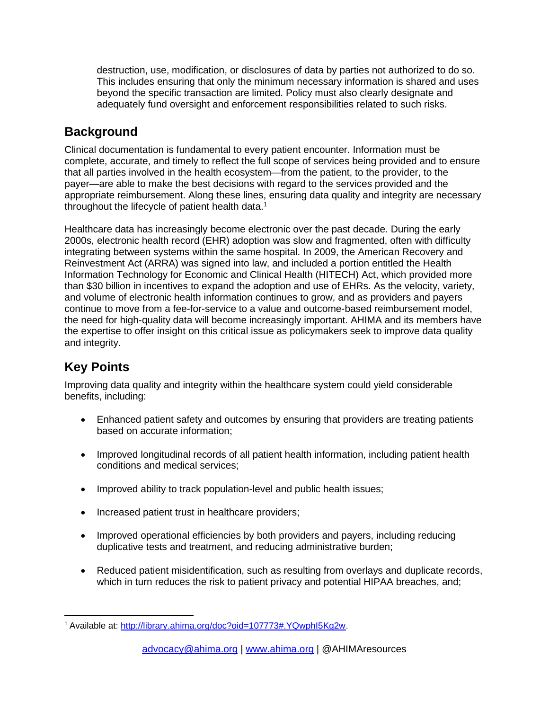destruction, use, modification, or disclosures of data by parties not authorized to do so. This includes ensuring that only the minimum necessary information is shared and uses beyond the specific transaction are limited. Policy must also clearly designate and adequately fund oversight and enforcement responsibilities related to such risks.

#### **Background**

Clinical documentation is fundamental to every patient encounter. Information must be complete, accurate, and timely to reflect the full scope of services being provided and to ensure that all parties involved in the health ecosystem—from the patient, to the provider, to the payer—are able to make the best decisions with regard to the services provided and the appropriate reimbursement. Along these lines, ensuring data quality and integrity are necessary throughout the lifecycle of patient health data.<sup>1</sup>

Healthcare data has increasingly become electronic over the past decade. During the early 2000s, electronic health record (EHR) adoption was slow and fragmented, often with difficulty integrating between systems within the same hospital. In 2009, the American Recovery and Reinvestment Act (ARRA) was signed into law, and included a portion entitled the Health Information Technology for Economic and Clinical Health (HITECH) Act, which provided more than \$30 billion in incentives to expand the adoption and use of EHRs. As the velocity, variety, and volume of electronic health information continues to grow, and as providers and payers continue to move from a fee-for-service to a value and outcome-based reimbursement model, the need for high-quality data will become increasingly important. AHIMA and its members have the expertise to offer insight on this critical issue as policymakers seek to improve data quality and integrity.

# **Key Points**

Improving data quality and integrity within the healthcare system could yield considerable benefits, including:

- Enhanced patient safety and outcomes by ensuring that providers are treating patients based on accurate information;
- Improved longitudinal records of all patient health information, including patient health conditions and medical services;
- Improved ability to track population-level and public health issues;
- Increased patient trust in healthcare providers;
- Improved operational efficiencies by both providers and payers, including reducing duplicative tests and treatment, and reducing administrative burden;
- Reduced patient misidentification, such as resulting from overlays and duplicate records, which in turn reduces the risk to patient privacy and potential HIPAA breaches, and;

<sup>1</sup> Available at: [http://library.ahima.org/doc?oid=107773#.YQwphI5Kg2w.](http://library.ahima.org/doc?oid=107773#.YQwphI5Kg2w)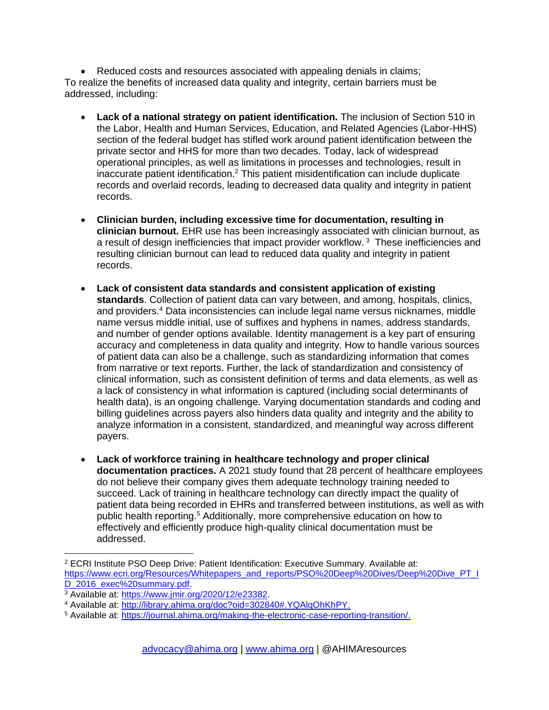• Reduced costs and resources associated with appealing denials in claims; To realize the benefits of increased data quality and integrity, certain barriers must be addressed, including:

- **Lack of a national strategy on patient identification.** The inclusion of Section 510 in the Labor, Health and Human Services, Education, and Related Agencies (Labor-HHS) section of the federal budget has stifled work around patient identification between the private sector and HHS for more than two decades. Today, lack of widespread operational principles, as well as limitations in processes and technologies, result in inaccurate patient identification.<sup>2</sup> This patient misidentification can include duplicate records and overlaid records, leading to decreased data quality and integrity in patient records.
- **Clinician burden, including excessive time for documentation, resulting in clinician burnout.** EHR use has been increasingly associated with clinician burnout, as a result of design inefficiencies that impact provider workflow.<sup>3</sup> These inefficiencies and resulting clinician burnout can lead to reduced data quality and integrity in patient records.
- **Lack of consistent data standards and consistent application of existing standards**. Collection of patient data can vary between, and among, hospitals, clinics, and providers.<sup>4</sup> Data inconsistencies can include legal name versus nicknames, middle name versus middle initial, use of suffixes and hyphens in names, address standards, and number of gender options available. Identity management is a key part of ensuring accuracy and completeness in data quality and integrity. How to handle various sources of patient data can also be a challenge, such as standardizing information that comes from narrative or text reports. Further, the lack of standardization and consistency of clinical information, such as consistent definition of terms and data elements, as well as a lack of consistency in what information is captured (including social determinants of health data), is an ongoing challenge. Varying documentation standards and coding and billing guidelines across payers also hinders data quality and integrity and the ability to analyze information in a consistent, standardized, and meaningful way across different payers.
- **Lack of workforce training in healthcare technology and proper clinical documentation practices.** A 2021 study found that 28 percent of healthcare employees do not believe their company gives them adequate technology training needed to succeed. Lack of training in healthcare technology can directly impact the quality of patient data being recorded in EHRs and transferred between institutions, as well as with public health reporting.<sup>5</sup> Additionally, more comprehensive education on how to effectively and efficiently produce high-quality clinical documentation must be addressed.

<sup>2</sup> ECRI Institute PSO Deep Drive: Patient Identification: Executive Summary. Available at: [https://www.ecri.org/Resources/Whitepapers\\_and\\_reports/PSO%20Deep%20Dives/Deep%20Dive\\_PT\\_I](https://www.ecri.org/Resources/Whitepapers_and_reports/PSO%20Deep%20Dives/Deep%20Dive_PT_ID_2016_exec%20summary.pdf) [D\\_2016\\_exec%20summary.pdf.](https://www.ecri.org/Resources/Whitepapers_and_reports/PSO%20Deep%20Dives/Deep%20Dive_PT_ID_2016_exec%20summary.pdf)

<sup>3</sup> Available at: [https://www.jmir.org/2020/12/e23382.](https://www.jmir.org/2020/12/e23382)

<sup>4</sup> Available at: [http://library.ahima.org/doc?oid=302840#.YQAlqOhKhPY.](http://library.ahima.org/doc?oid=302840#.YQAlqOhKhPY)

<sup>5</sup> Available at: [https://journal.ahima.org/making-the-electronic-case-reporting-transition/.](https://journal.ahima.org/making-the-electronic-case-reporting-transition/)